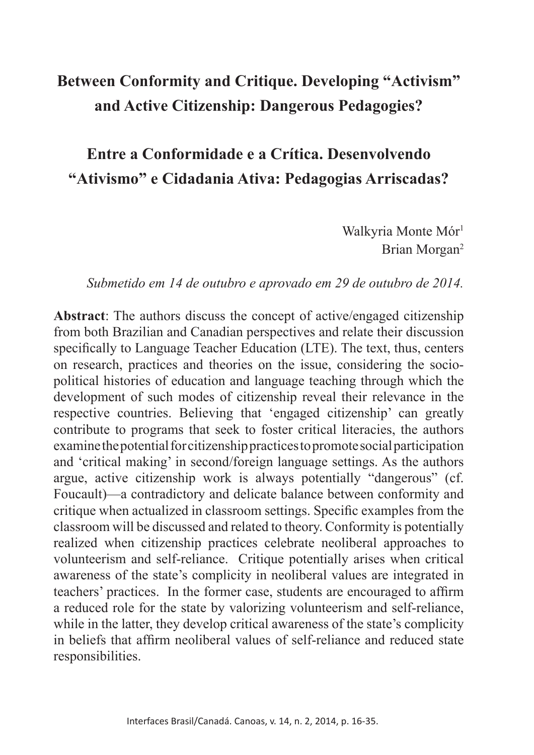# **Between Conformity and Critique. Developing "Activism" and Active Citizenship: Dangerous Pedagogies?**

# **Entre a Conformidade e a Crítica. Desenvolvendo "Ativismo" e Cidadania Ativa: Pedagogias Arriscadas?**

Walkyria Monte Mór<sup>1</sup> Brian Morgan2

#### *Submetido em 14 de outubro e aprovado em 29 de outubro de 2014.*

**Abstract**: The authors discuss the concept of active/engaged citizenship from both Brazilian and Canadian perspectives and relate their discussion specifcally to Language Teacher Education (LTE). The text, thus, centers on research, practices and theories on the issue, considering the sociopolitical histories of education and language teaching through which the development of such modes of citizenship reveal their relevance in the respective countries. Believing that 'engaged citizenship' can greatly contribute to programs that seek to foster critical literacies, the authors examine the potential for citizenship practices to promote social participation and 'critical making' in second/foreign language settings. As the authors argue, active citizenship work is always potentially "dangerous" (cf. Foucault)—a contradictory and delicate balance between conformity and critique when actualized in classroom settings. Specifc examples from the classroom will be discussed and related to theory. Conformity is potentially realized when citizenship practices celebrate neoliberal approaches to volunteerism and self-reliance. Critique potentially arises when critical awareness of the state's complicity in neoliberal values are integrated in teachers' practices. In the former case, students are encouraged to affrm a reduced role for the state by valorizing volunteerism and self-reliance, while in the latter, they develop critical awareness of the state's complicity in beliefs that affrm neoliberal values of self-reliance and reduced state responsibilities.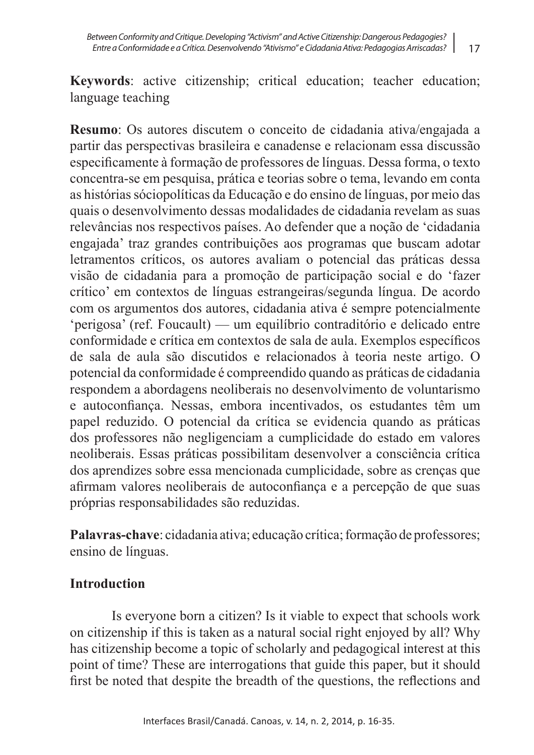**Keywords**: active citizenship; critical education; teacher education; language teaching

**Resumo**: Os autores discutem o conceito de cidadania ativa/engajada a partir das perspectivas brasileira e canadense e relacionam essa discussão especifcamente à formação de professores de línguas. Dessa forma, o texto concentra-se em pesquisa, prática e teorias sobre o tema, levando em conta as histórias sóciopolíticas da Educação e do ensino de línguas, por meio das quais o desenvolvimento dessas modalidades de cidadania revelam as suas relevâncias nos respectivos países. Ao defender que a noção de 'cidadania engajada' traz grandes contribuições aos programas que buscam adotar letramentos críticos, os autores avaliam o potencial das práticas dessa visão de cidadania para a promoção de participação social e do 'fazer crítico' em contextos de línguas estrangeiras/segunda língua. De acordo com os argumentos dos autores, cidadania ativa é sempre potencialmente 'perigosa' (ref. Foucault) — um equilíbrio contraditório e delicado entre conformidade e crítica em contextos de sala de aula. Exemplos específcos de sala de aula são discutidos e relacionados à teoria neste artigo. O potencial da conformidade é compreendido quando as práticas de cidadania respondem a abordagens neoliberais no desenvolvimento de voluntarismo e autoconfança. Nessas, embora incentivados, os estudantes têm um papel reduzido. O potencial da crítica se evidencia quando as práticas dos professores não negligenciam a cumplicidade do estado em valores neoliberais. Essas práticas possibilitam desenvolver a consciência crítica dos aprendizes sobre essa mencionada cumplicidade, sobre as crenças que afrmam valores neoliberais de autoconfança e a percepção de que suas próprias responsabilidades são reduzidas.

**Palavras-chave**: cidadania ativa; educação crítica; formação de professores; ensino de línguas.

## **Introduction**

Is everyone born a citizen? Is it viable to expect that schools work on citizenship if this is taken as a natural social right enjoyed by all? Why has citizenship become a topic of scholarly and pedagogical interest at this point of time? These are interrogations that guide this paper, but it should frst be noted that despite the breadth of the questions, the refections and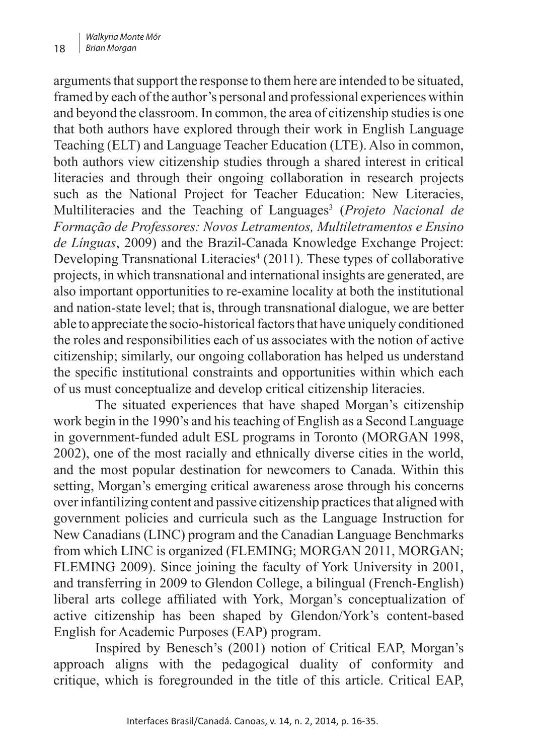arguments that support the response to them here are intended to be situated, framed by each of the author's personal and professional experiences within and beyond the classroom. In common, the area of citizenship studies is one that both authors have explored through their work in English Language Teaching (ELT) and Language Teacher Education (LTE). Also in common, both authors view citizenship studies through a shared interest in critical literacies and through their ongoing collaboration in research projects such as the National Project for Teacher Education: New Literacies, Multiliteracies and the Teaching of Languages<sup>3</sup> (*Projeto Nacional de Formação de Professores: Novos Letramentos, Multiletramentos e Ensino de Línguas*, 2009) and the Brazil-Canada Knowledge Exchange Project: Developing Transnational Literacies<sup>4</sup> (2011). These types of collaborative projects, in which transnational and international insights are generated, are also important opportunities to re-examine locality at both the institutional and nation-state level; that is, through transnational dialogue, we are better able to appreciate the socio-historical factors that have uniquely conditioned the roles and responsibilities each of us associates with the notion of active citizenship; similarly, our ongoing collaboration has helped us understand the specifc institutional constraints and opportunities within which each of us must conceptualize and develop critical citizenship literacies.

The situated experiences that have shaped Morgan's citizenship work begin in the 1990's and his teaching of English as a Second Language in government-funded adult ESL programs in Toronto (MORGAN 1998, 2002), one of the most racially and ethnically diverse cities in the world, and the most popular destination for newcomers to Canada. Within this setting, Morgan's emerging critical awareness arose through his concerns over infantilizing content and passive citizenship practices that aligned with government policies and curricula such as the Language Instruction for New Canadians (LINC) program and the Canadian Language Benchmarks from which LINC is organized (FLEMING; MORGAN 2011, MORGAN; FLEMING 2009). Since joining the faculty of York University in 2001, and transferring in 2009 to Glendon College, a bilingual (French-English) liberal arts college affliated with York, Morgan's conceptualization of active citizenship has been shaped by Glendon/York's content-based English for Academic Purposes (EAP) program.

Inspired by Benesch's (2001) notion of Critical EAP, Morgan's approach aligns with the pedagogical duality of conformity and critique, which is foregrounded in the title of this article. Critical EAP,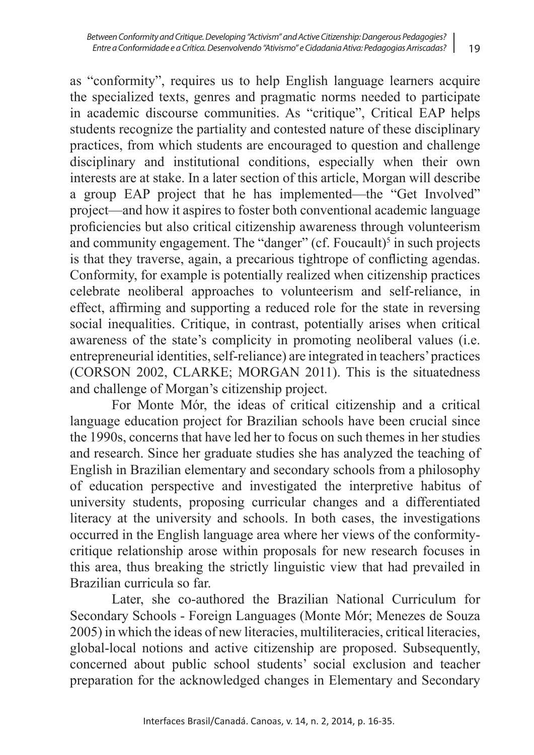as "conformity", requires us to help English language learners acquire the specialized texts, genres and pragmatic norms needed to participate in academic discourse communities. As "critique", Critical EAP helps students recognize the partiality and contested nature of these disciplinary practices, from which students are encouraged to question and challenge disciplinary and institutional conditions, especially when their own interests are at stake. In a later section of this article, Morgan will describe a group EAP project that he has implemented—the "Get Involved" project—and how it aspires to foster both conventional academic language profciencies but also critical citizenship awareness through volunteerism and community engagement. The "danger"  $(cf. Foucault)<sup>5</sup>$  in such projects is that they traverse, again, a precarious tightrope of conficting agendas. Conformity, for example is potentially realized when citizenship practices celebrate neoliberal approaches to volunteerism and self-reliance, in effect, affrming and supporting a reduced role for the state in reversing social inequalities. Critique, in contrast, potentially arises when critical awareness of the state's complicity in promoting neoliberal values (i.e. entrepreneurial identities, self-reliance) are integrated in teachers' practices (CORSON 2002, CLARKE; MORGAN 2011). This is the situatedness and challenge of Morgan's citizenship project.

For Monte Mór, the ideas of critical citizenship and a critical language education project for Brazilian schools have been crucial since the 1990s, concerns that have led her to focus on such themes in her studies and research. Since her graduate studies she has analyzed the teaching of English in Brazilian elementary and secondary schools from a philosophy of education perspective and investigated the interpretive habitus of university students, proposing curricular changes and a differentiated literacy at the university and schools. In both cases, the investigations occurred in the English language area where her views of the conformitycritique relationship arose within proposals for new research focuses in this area, thus breaking the strictly linguistic view that had prevailed in Brazilian curricula so far.

Later, she co-authored the Brazilian National Curriculum for Secondary Schools - Foreign Languages (Monte Mór; Menezes de Souza 2005) in which the ideas of new literacies, multiliteracies, critical literacies, global-local notions and active citizenship are proposed. Subsequently, concerned about public school students' social exclusion and teacher preparation for the acknowledged changes in Elementary and Secondary

19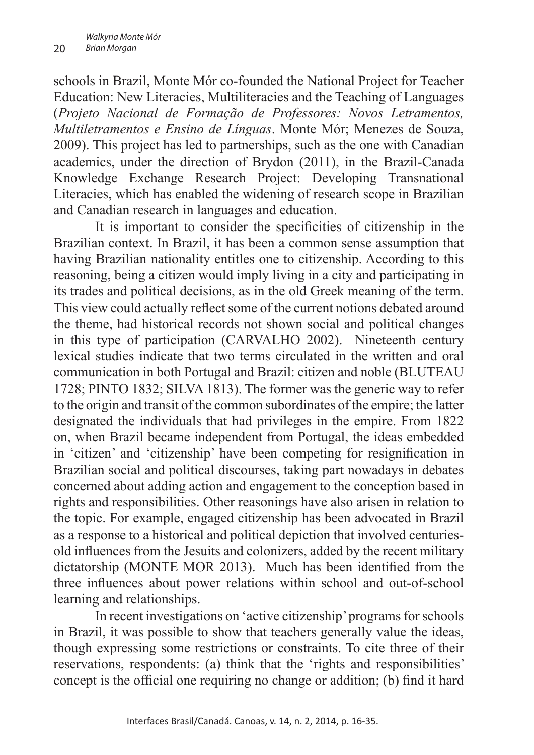schools in Brazil, Monte Mór co-founded the National Project for Teacher Education: New Literacies, Multiliteracies and the Teaching of Languages (*Projeto Nacional de Formação de Professores: Novos Letramentos, Multiletramentos e Ensino de Línguas*. Monte Mór; Menezes de Souza, 2009). This project has led to partnerships, such as the one with Canadian academics, under the direction of Brydon (2011), in the Brazil-Canada Knowledge Exchange Research Project: Developing Transnational Literacies, which has enabled the widening of research scope in Brazilian and Canadian research in languages and education.

It is important to consider the specifcities of citizenship in the Brazilian context. In Brazil, it has been a common sense assumption that having Brazilian nationality entitles one to citizenship. According to this reasoning, being a citizen would imply living in a city and participating in its trades and political decisions, as in the old Greek meaning of the term. This view could actually refect some of the current notions debated around the theme, had historical records not shown social and political changes in this type of participation (CARVALHO 2002). Nineteenth century lexical studies indicate that two terms circulated in the written and oral communication in both Portugal and Brazil: citizen and noble (BLUTEAU 1728; PINTO 1832; SILVA 1813). The former was the generic way to refer to the origin and transit of the common subordinates of the empire; the latter designated the individuals that had privileges in the empire. From 1822 on, when Brazil became independent from Portugal, the ideas embedded in 'citizen' and 'citizenship' have been competing for resignifcation in Brazilian social and political discourses, taking part nowadays in debates concerned about adding action and engagement to the conception based in rights and responsibilities. Other reasonings have also arisen in relation to the topic. For example, engaged citizenship has been advocated in Brazil as a response to a historical and political depiction that involved centuriesold infuences from the Jesuits and colonizers, added by the recent military dictatorship (MONTE MOR 2013). Much has been identifed from the three infuences about power relations within school and out-of-school learning and relationships.

In recent investigations on 'active citizenship' programs for schools in Brazil, it was possible to show that teachers generally value the ideas, though expressing some restrictions or constraints. To cite three of their reservations, respondents: (a) think that the 'rights and responsibilities' concept is the official one requiring no change or addition; (b) find it hard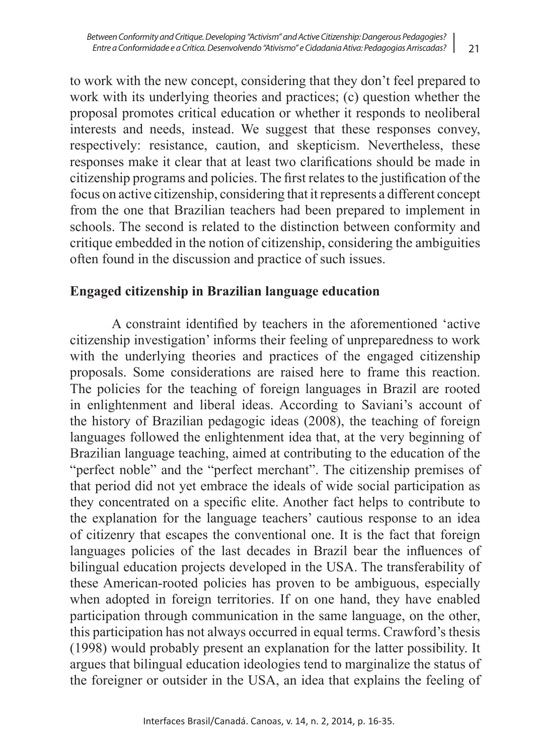to work with the new concept, considering that they don't feel prepared to work with its underlying theories and practices; (c) question whether the proposal promotes critical education or whether it responds to neoliberal interests and needs, instead. We suggest that these responses convey, respectively: resistance, caution, and skepticism. Nevertheless, these responses make it clear that at least two clarifcations should be made in citizenship programs and policies. The frst relates to the justifcation of the focus on active citizenship, considering that it represents a different concept from the one that Brazilian teachers had been prepared to implement in schools. The second is related to the distinction between conformity and critique embedded in the notion of citizenship, considering the ambiguities often found in the discussion and practice of such issues.

## **Engaged citizenship in Brazilian language education**

A constraint identifed by teachers in the aforementioned 'active citizenship investigation' informs their feeling of unpreparedness to work with the underlying theories and practices of the engaged citizenship proposals. Some considerations are raised here to frame this reaction. The policies for the teaching of foreign languages in Brazil are rooted in enlightenment and liberal ideas. According to Saviani's account of the history of Brazilian pedagogic ideas (2008), the teaching of foreign languages followed the enlightenment idea that, at the very beginning of Brazilian language teaching, aimed at contributing to the education of the "perfect noble" and the "perfect merchant". The citizenship premises of that period did not yet embrace the ideals of wide social participation as they concentrated on a specifc elite. Another fact helps to contribute to the explanation for the language teachers' cautious response to an idea of citizenry that escapes the conventional one. It is the fact that foreign languages policies of the last decades in Brazil bear the infuences of bilingual education projects developed in the USA. The transferability of these American-rooted policies has proven to be ambiguous, especially when adopted in foreign territories. If on one hand, they have enabled participation through communication in the same language, on the other, this participation has not always occurred in equal terms. Crawford's thesis (1998) would probably present an explanation for the latter possibility. It argues that bilingual education ideologies tend to marginalize the status of the foreigner or outsider in the USA, an idea that explains the feeling of

21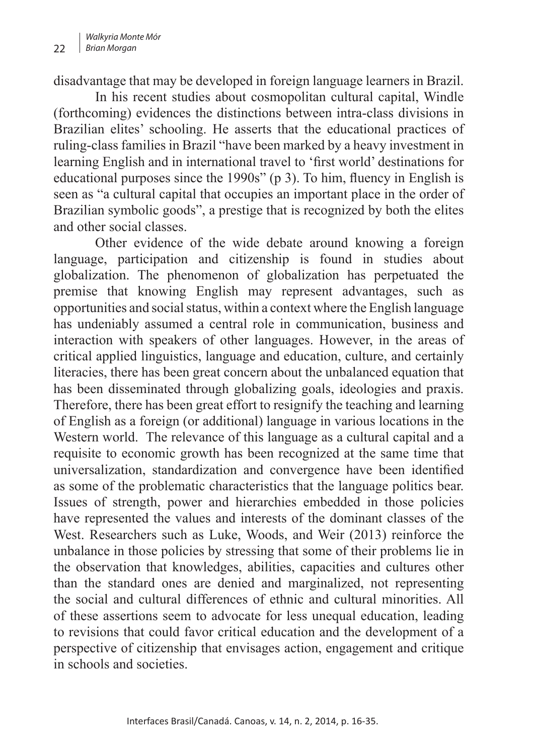disadvantage that may be developed in foreign language learners in Brazil.

In his recent studies about cosmopolitan cultural capital, Windle (forthcoming) evidences the distinctions between intra-class divisions in Brazilian elites' schooling. He asserts that the educational practices of ruling-class families in Brazil "have been marked by a heavy investment in learning English and in international travel to 'frst world' destinations for educational purposes since the 1990s" (p 3). To him, fuency in English is seen as "a cultural capital that occupies an important place in the order of Brazilian symbolic goods", a prestige that is recognized by both the elites and other social classes.

Other evidence of the wide debate around knowing a foreign language, participation and citizenship is found in studies about globalization. The phenomenon of globalization has perpetuated the premise that knowing English may represent advantages, such as opportunities and social status, within a context where the English language has undeniably assumed a central role in communication, business and interaction with speakers of other languages. However, in the areas of critical applied linguistics, language and education, culture, and certainly literacies, there has been great concern about the unbalanced equation that has been disseminated through globalizing goals, ideologies and praxis. Therefore, there has been great effort to resignify the teaching and learning of English as a foreign (or additional) language in various locations in the Western world. The relevance of this language as a cultural capital and a requisite to economic growth has been recognized at the same time that universalization, standardization and convergence have been identifed as some of the problematic characteristics that the language politics bear. Issues of strength, power and hierarchies embedded in those policies have represented the values and interests of the dominant classes of the West. Researchers such as Luke, Woods, and Weir (2013) reinforce the unbalance in those policies by stressing that some of their problems lie in the observation that knowledges, abilities, capacities and cultures other than the standard ones are denied and marginalized, not representing the social and cultural differences of ethnic and cultural minorities. All of these assertions seem to advocate for less unequal education, leading to revisions that could favor critical education and the development of a perspective of citizenship that envisages action, engagement and critique in schools and societies.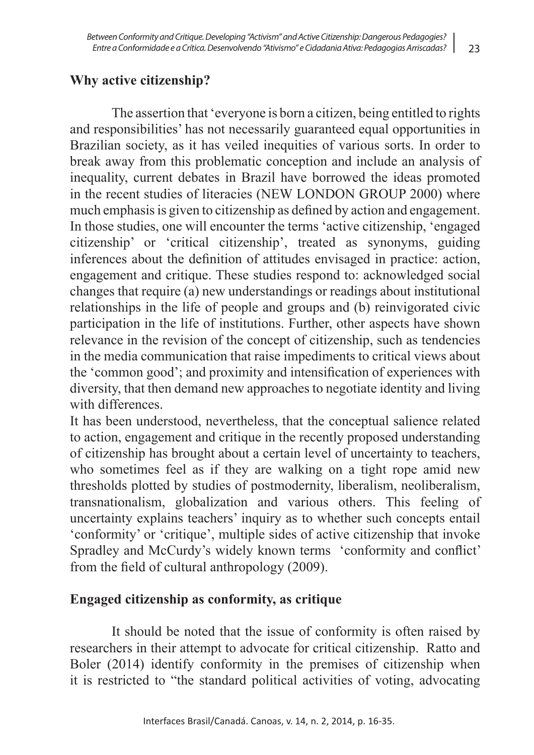## **Why active citizenship?**

The assertion that 'everyone is born a citizen, being entitled to rights and responsibilities' has not necessarily guaranteed equal opportunities in Brazilian society, as it has veiled inequities of various sorts. In order to break away from this problematic conception and include an analysis of inequality, current debates in Brazil have borrowed the ideas promoted in the recent studies of literacies (NEW LONDON GROUP 2000) where much emphasis is given to citizenship as defned by action and engagement. In those studies, one will encounter the terms 'active citizenship, 'engaged citizenship' or 'critical citizenship', treated as synonyms, guiding inferences about the defnition of attitudes envisaged in practice: action, engagement and critique. These studies respond to: acknowledged social changes that require (a) new understandings or readings about institutional relationships in the life of people and groups and (b) reinvigorated civic participation in the life of institutions. Further, other aspects have shown relevance in the revision of the concept of citizenship, such as tendencies in the media communication that raise impediments to critical views about the 'common good'; and proximity and intensifcation of experiences with diversity, that then demand new approaches to negotiate identity and living with differences.

It has been understood, nevertheless, that the conceptual salience related to action, engagement and critique in the recently proposed understanding of citizenship has brought about a certain level of uncertainty to teachers, who sometimes feel as if they are walking on a tight rope amid new thresholds plotted by studies of postmodernity, liberalism, neoliberalism, transnationalism, globalization and various others. This feeling of uncertainty explains teachers' inquiry as to whether such concepts entail 'conformity' or 'critique', multiple sides of active citizenship that invoke Spradley and McCurdy's widely known terms 'conformity and confict' from the feld of cultural anthropology (2009).

#### **Engaged citizenship as conformity, as critique**

It should be noted that the issue of conformity is often raised by researchers in their attempt to advocate for critical citizenship. Ratto and Boler (2014) identify conformity in the premises of citizenship when it is restricted to "the standard political activities of voting, advocating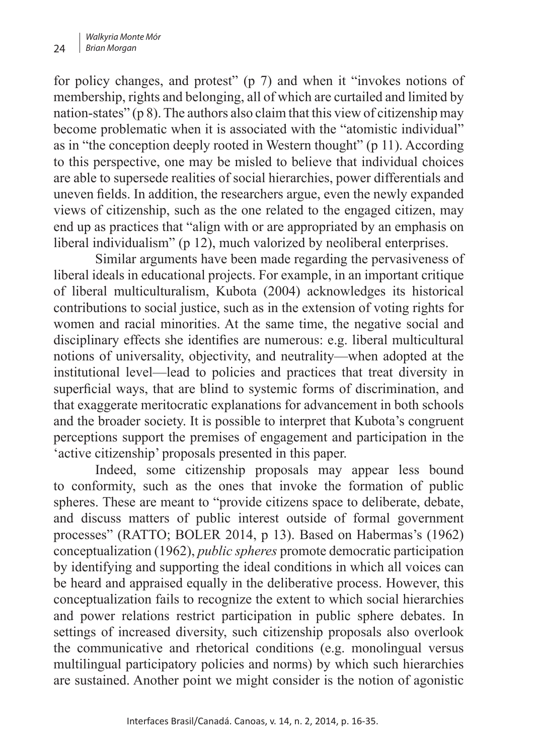for policy changes, and protest" (p 7) and when it "invokes notions of membership, rights and belonging, all of which are curtailed and limited by nation-states" (p 8). The authors also claim that this view of citizenship may become problematic when it is associated with the "atomistic individual" as in "the conception deeply rooted in Western thought" (p 11). According to this perspective, one may be misled to believe that individual choices are able to supersede realities of social hierarchies, power differentials and uneven felds. In addition, the researchers argue, even the newly expanded views of citizenship, such as the one related to the engaged citizen, may end up as practices that "align with or are appropriated by an emphasis on liberal individualism" (p 12), much valorized by neoliberal enterprises.

Similar arguments have been made regarding the pervasiveness of liberal ideals in educational projects. For example, in an important critique of liberal multiculturalism, Kubota (2004) acknowledges its historical contributions to social justice, such as in the extension of voting rights for women and racial minorities. At the same time, the negative social and disciplinary effects she identifes are numerous: e.g. liberal multicultural notions of universality, objectivity, and neutrality—when adopted at the institutional level—lead to policies and practices that treat diversity in superficial ways, that are blind to systemic forms of discrimination, and that exaggerate meritocratic explanations for advancement in both schools and the broader society. It is possible to interpret that Kubota's congruent perceptions support the premises of engagement and participation in the 'active citizenship' proposals presented in this paper.

Indeed, some citizenship proposals may appear less bound to conformity, such as the ones that invoke the formation of public spheres. These are meant to "provide citizens space to deliberate, debate, and discuss matters of public interest outside of formal government processes" (RATTO; BOLER 2014, p 13). Based on Habermas's (1962) conceptualization (1962), *public spheres* promote democratic participation by identifying and supporting the ideal conditions in which all voices can be heard and appraised equally in the deliberative process. However, this conceptualization fails to recognize the extent to which social hierarchies and power relations restrict participation in public sphere debates. In settings of increased diversity, such citizenship proposals also overlook the communicative and rhetorical conditions (e.g. monolingual versus multilingual participatory policies and norms) by which such hierarchies are sustained. Another point we might consider is the notion of agonistic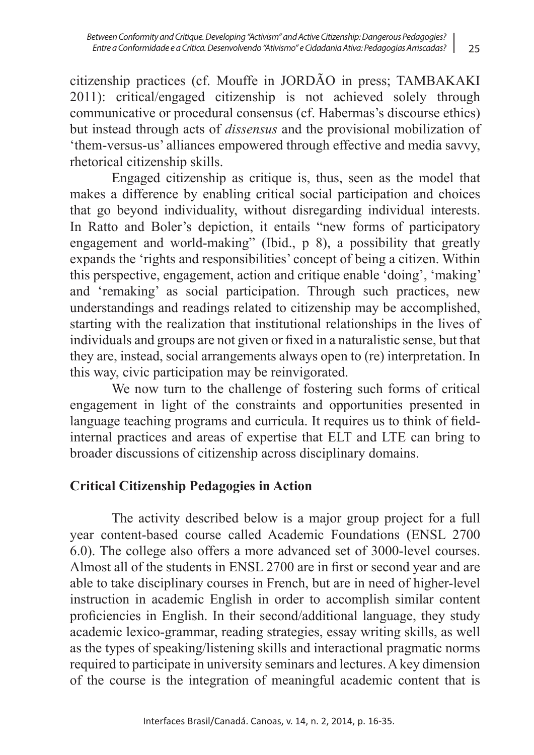citizenship practices (cf. Mouffe in JORDÃO in press; TAMBAKAKI 2011): critical/engaged citizenship is not achieved solely through communicative or procedural consensus (cf. Habermas's discourse ethics) but instead through acts of *dissensus* and the provisional mobilization of 'them-versus-us' alliances empowered through effective and media savvy, rhetorical citizenship skills.

Engaged citizenship as critique is, thus, seen as the model that makes a difference by enabling critical social participation and choices that go beyond individuality, without disregarding individual interests. In Ratto and Boler's depiction, it entails "new forms of participatory engagement and world-making" (Ibid., p 8), a possibility that greatly expands the 'rights and responsibilities' concept of being a citizen. Within this perspective, engagement, action and critique enable 'doing', 'making' and 'remaking' as social participation. Through such practices, new understandings and readings related to citizenship may be accomplished, starting with the realization that institutional relationships in the lives of individuals and groups are not given or fxed in a naturalistic sense, but that they are, instead, social arrangements always open to (re) interpretation. In this way, civic participation may be reinvigorated.

We now turn to the challenge of fostering such forms of critical engagement in light of the constraints and opportunities presented in language teaching programs and curricula. It requires us to think of feldinternal practices and areas of expertise that ELT and LTE can bring to broader discussions of citizenship across disciplinary domains.

## **Critical Citizenship Pedagogies in Action**

The activity described below is a major group project for a full year content-based course called Academic Foundations (ENSL 2700 6.0). The college also offers a more advanced set of 3000-level courses. Almost all of the students in ENSL 2700 are in frst or second year and are able to take disciplinary courses in French, but are in need of higher-level instruction in academic English in order to accomplish similar content profciencies in English. In their second/additional language, they study academic lexico-grammar, reading strategies, essay writing skills, as well as the types of speaking/listening skills and interactional pragmatic norms required to participate in university seminars and lectures. A key dimension of the course is the integration of meaningful academic content that is

25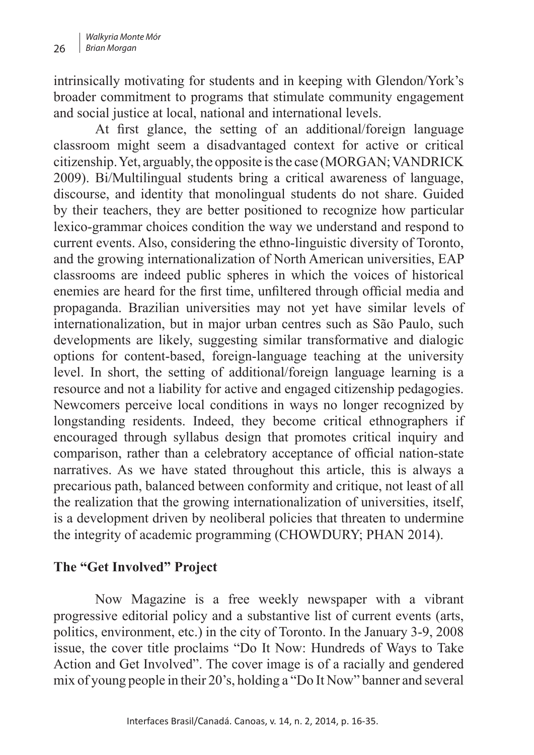intrinsically motivating for students and in keeping with Glendon/York's broader commitment to programs that stimulate community engagement and social justice at local, national and international levels.

At first glance, the setting of an additional/foreign language classroom might seem a disadvantaged context for active or critical citizenship. Yet, arguably, the opposite is the case (MORGAN; VANDRICK 2009). Bi/Multilingual students bring a critical awareness of language, discourse, and identity that monolingual students do not share. Guided by their teachers, they are better positioned to recognize how particular lexico-grammar choices condition the way we understand and respond to current events. Also, considering the ethno-linguistic diversity of Toronto, and the growing internationalization of North American universities, EAP classrooms are indeed public spheres in which the voices of historical enemies are heard for the first time, unfiltered through official media and propaganda. Brazilian universities may not yet have similar levels of internationalization, but in major urban centres such as São Paulo, such developments are likely, suggesting similar transformative and dialogic options for content-based, foreign-language teaching at the university level. In short, the setting of additional/foreign language learning is a resource and not a liability for active and engaged citizenship pedagogies. Newcomers perceive local conditions in ways no longer recognized by longstanding residents. Indeed, they become critical ethnographers if encouraged through syllabus design that promotes critical inquiry and comparison, rather than a celebratory acceptance of official nation-state narratives. As we have stated throughout this article, this is always a precarious path, balanced between conformity and critique, not least of all the realization that the growing internationalization of universities, itself, is a development driven by neoliberal policies that threaten to undermine the integrity of academic programming (CHOWDURY; PHAN 2014).

#### **The "Get Involved" Project**

Now Magazine is a free weekly newspaper with a vibrant progressive editorial policy and a substantive list of current events (arts, politics, environment, etc.) in the city of Toronto. In the January 3-9, 2008 issue, the cover title proclaims "Do It Now: Hundreds of Ways to Take Action and Get Involved". The cover image is of a racially and gendered mix of young people in their 20's, holding a "Do It Now" banner and several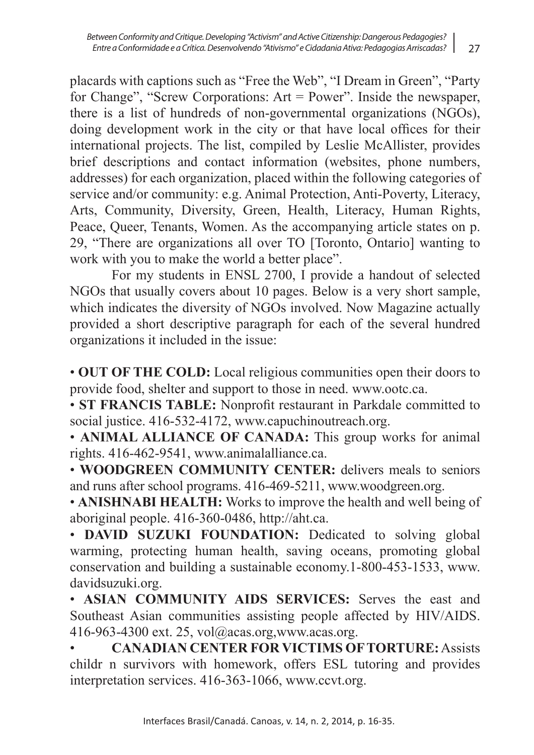placards with captions such as "Free the Web", "I Dream in Green", "Party for Change", "Screw Corporations: Art = Power". Inside the newspaper, there is a list of hundreds of non-governmental organizations (NGOs), doing development work in the city or that have local offices for their international projects. The list, compiled by Leslie McAllister, provides brief descriptions and contact information (websites, phone numbers, addresses) for each organization, placed within the following categories of service and/or community: e.g. Animal Protection, Anti-Poverty, Literacy, Arts, Community, Diversity, Green, Health, Literacy, Human Rights, Peace, Queer, Tenants, Women. As the accompanying article states on p. 29, "There are organizations all over TO [Toronto, Ontario] wanting to work with you to make the world a better place".

For my students in ENSL 2700, I provide a handout of selected NGOs that usually covers about 10 pages. Below is a very short sample, which indicates the diversity of NGOs involved. Now Magazine actually provided a short descriptive paragraph for each of the several hundred organizations it included in the issue:

• **OUT OF THE COLD:** Local religious communities open their doors to provide food, shelter and support to those in need. www.ootc.ca.

• **ST FRANCIS TABLE:** Nonproft restaurant in Parkdale committed to social justice. 416-532-4172, www.capuchinoutreach.org.

• **ANIMAL ALLIANCE OF CANADA:** This group works for animal rights. 416-462-9541, www.animalalliance.ca.

• **WOODGREEN COMMUNITY CENTER:** delivers meals to seniors and runs after school programs. 416-469-5211, www.woodgreen.org.

• **ANISHNABI HEALTH:** Works to improve the health and well being of aboriginal people. 416-360-0486, http://aht.ca.

• **DAVID SUZUKI FOUNDATION:** Dedicated to solving global warming, protecting human health, saving oceans, promoting global conservation and building a sustainable economy.1-800-453-1533, www. davidsuzuki.org.

• **ASIAN COMMUNITY AIDS SERVICES:** Serves the east and Southeast Asian communities assisting people affected by HIV/AIDS. 416-963-4300 ext. 25, vol@acas.org,www.acas.org.

• **CANADIAN CENTER FOR VICTIMS OF TORTURE:** Assists childr n survivors with homework, offers ESL tutoring and provides interpretation services. 416-363-1066, www.ccvt.org.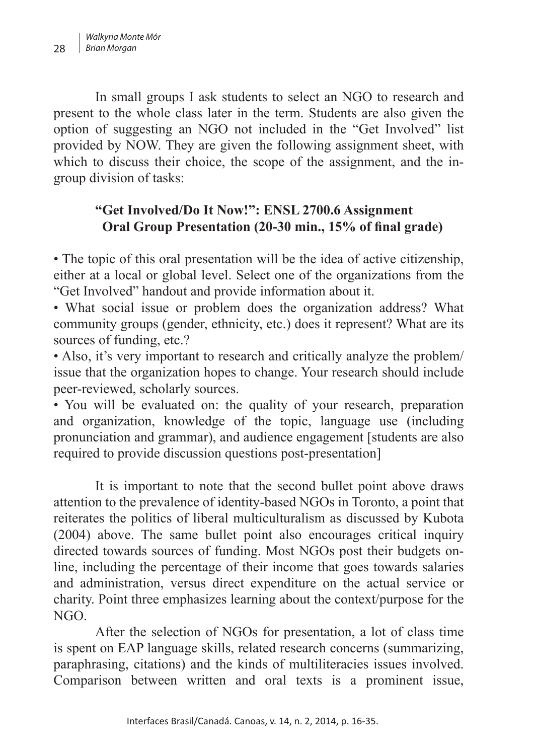In small groups I ask students to select an NGO to research and present to the whole class later in the term. Students are also given the option of suggesting an NGO not included in the "Get Involved" list provided by NOW. They are given the following assignment sheet, with which to discuss their choice, the scope of the assignment, and the ingroup division of tasks:

## **"Get Involved/Do It Now!": ENSL 2700.6 Assignment Oral Group Presentation (20-30 min., 15% of fnal grade)**

• The topic of this oral presentation will be the idea of active citizenship, either at a local or global level. Select one of the organizations from the "Get Involved" handout and provide information about it.

• What social issue or problem does the organization address? What community groups (gender, ethnicity, etc.) does it represent? What are its sources of funding, etc.?

• Also, it's very important to research and critically analyze the problem/ issue that the organization hopes to change. Your research should include peer-reviewed, scholarly sources.

• You will be evaluated on: the quality of your research, preparation and organization, knowledge of the topic, language use (including pronunciation and grammar), and audience engagement [students are also required to provide discussion questions post-presentation]

It is important to note that the second bullet point above draws attention to the prevalence of identity-based NGOs in Toronto, a point that reiterates the politics of liberal multiculturalism as discussed by Kubota (2004) above. The same bullet point also encourages critical inquiry directed towards sources of funding. Most NGOs post their budgets online, including the percentage of their income that goes towards salaries and administration, versus direct expenditure on the actual service or charity. Point three emphasizes learning about the context/purpose for the  $NGO$ 

After the selection of NGOs for presentation, a lot of class time is spent on EAP language skills, related research concerns (summarizing, paraphrasing, citations) and the kinds of multiliteracies issues involved. Comparison between written and oral texts is a prominent issue,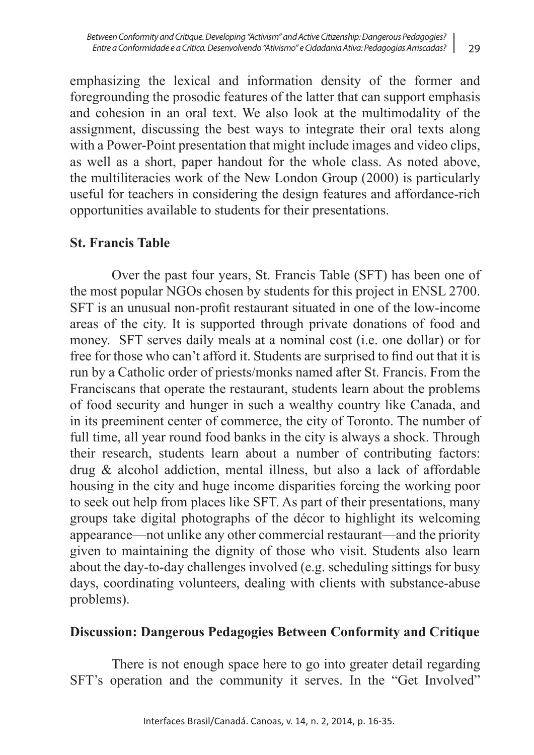emphasizing the lexical and information density of the former and foregrounding the prosodic features of the latter that can support emphasis and cohesion in an oral text. We also look at the multimodality of the assignment, discussing the best ways to integrate their oral texts along with a Power-Point presentation that might include images and video clips, as well as a short, paper handout for the whole class. As noted above, the multiliteracies work of the New London Group (2000) is particularly useful for teachers in considering the design features and affordance-rich opportunities available to students for their presentations.

#### **St. Francis Table**

Over the past four years, St. Francis Table (SFT) has been one of the most popular NGOs chosen by students for this project in ENSL 2700. SFT is an unusual non-proft restaurant situated in one of the low-income areas of the city. It is supported through private donations of food and money. SFT serves daily meals at a nominal cost (i.e. one dollar) or for free for those who can't afford it. Students are surprised to fnd out that it is run by a Catholic order of priests/monks named after St. Francis. From the Franciscans that operate the restaurant, students learn about the problems of food security and hunger in such a wealthy country like Canada, and in its preeminent center of commerce, the city of Toronto. The number of full time, all year round food banks in the city is always a shock. Through their research, students learn about a number of contributing factors: drug & alcohol addiction, mental illness, but also a lack of affordable housing in the city and huge income disparities forcing the working poor to seek out help from places like SFT. As part of their presentations, many groups take digital photographs of the décor to highlight its welcoming appearance—not unlike any other commercial restaurant—and the priority given to maintaining the dignity of those who visit. Students also learn about the day-to-day challenges involved (e.g. scheduling sittings for busy days, coordinating volunteers, dealing with clients with substance-abuse problems).

#### **Discussion: Dangerous Pedagogies Between Conformity and Critique**

There is not enough space here to go into greater detail regarding SFT's operation and the community it serves. In the "Get Involved"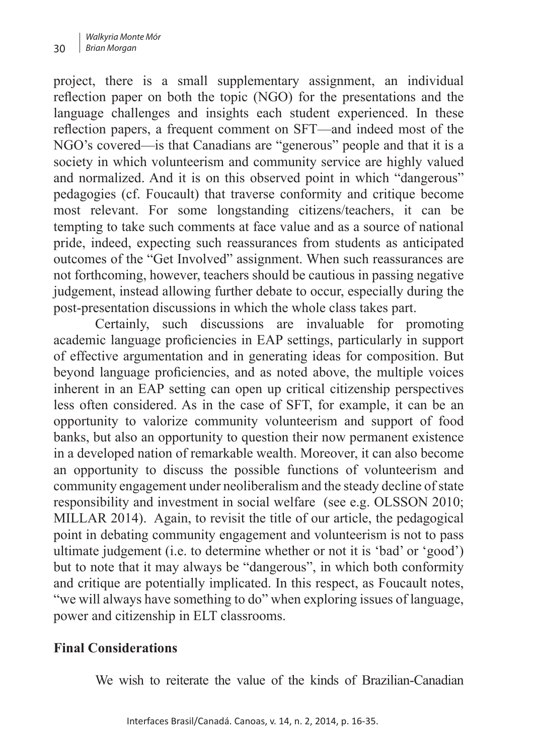project, there is a small supplementary assignment, an individual refection paper on both the topic (NGO) for the presentations and the language challenges and insights each student experienced. In these refection papers, a frequent comment on SFT—and indeed most of the NGO's covered—is that Canadians are "generous" people and that it is a society in which volunteerism and community service are highly valued and normalized. And it is on this observed point in which "dangerous" pedagogies (cf. Foucault) that traverse conformity and critique become most relevant. For some longstanding citizens/teachers, it can be tempting to take such comments at face value and as a source of national pride, indeed, expecting such reassurances from students as anticipated outcomes of the "Get Involved" assignment. When such reassurances are not forthcoming, however, teachers should be cautious in passing negative judgement, instead allowing further debate to occur, especially during the post-presentation discussions in which the whole class takes part.

Certainly, such discussions are invaluable for promoting academic language profciencies in EAP settings, particularly in support of effective argumentation and in generating ideas for composition. But beyond language profciencies, and as noted above, the multiple voices inherent in an EAP setting can open up critical citizenship perspectives less often considered. As in the case of SFT, for example, it can be an opportunity to valorize community volunteerism and support of food banks, but also an opportunity to question their now permanent existence in a developed nation of remarkable wealth. Moreover, it can also become an opportunity to discuss the possible functions of volunteerism and community engagement under neoliberalism and the steady decline of state responsibility and investment in social welfare (see e.g. OLSSON 2010; MILLAR 2014). Again, to revisit the title of our article, the pedagogical point in debating community engagement and volunteerism is not to pass ultimate judgement (i.e. to determine whether or not it is 'bad' or 'good') but to note that it may always be "dangerous", in which both conformity and critique are potentially implicated. In this respect, as Foucault notes, "we will always have something to do" when exploring issues of language, power and citizenship in ELT classrooms.

#### **Final Considerations**

We wish to reiterate the value of the kinds of Brazilian-Canadian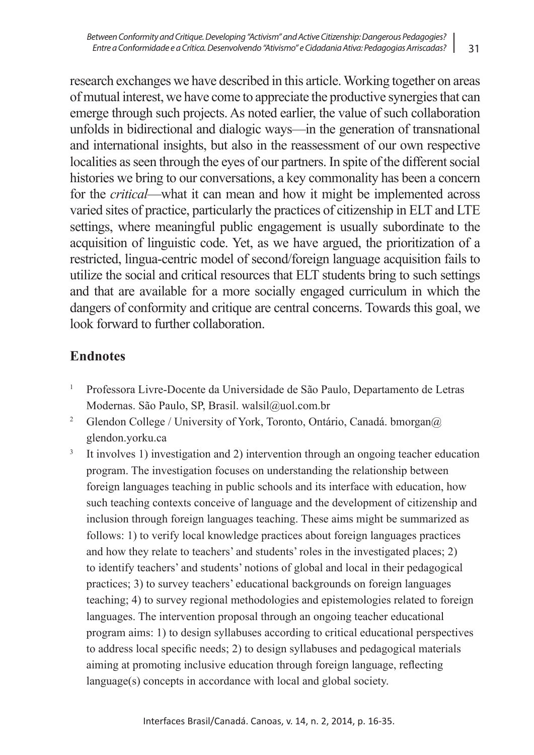research exchanges we have described in this article. Working together on areas of mutual interest, we have come to appreciate the productive synergies that can emerge through such projects. As noted earlier, the value of such collaboration unfolds in bidirectional and dialogic ways—in the generation of transnational and international insights, but also in the reassessment of our own respective localities as seen through the eyes of our partners. In spite of the different social histories we bring to our conversations, a key commonality has been a concern for the *critical*—what it can mean and how it might be implemented across varied sites of practice, particularly the practices of citizenship in ELT and LTE settings, where meaningful public engagement is usually subordinate to the acquisition of linguistic code. Yet, as we have argued, the prioritization of a restricted, lingua-centric model of second/foreign language acquisition fails to utilize the social and critical resources that ELT students bring to such settings

and that are available for a more socially engaged curriculum in which the dangers of conformity and critique are central concerns. Towards this goal, we look forward to further collaboration.

### **Endnotes**

- 1 Professora Livre-Docente da Universidade de São Paulo, Departamento de Letras Modernas. São Paulo, SP, Brasil. walsil@uol.com.br
- <sup>2</sup> Glendon College / University of York, Toronto, Ontário, Canadá. bmorgan@ glendon.yorku.ca
- <sup>3</sup> It involves 1) investigation and 2) intervention through an ongoing teacher education program. The investigation focuses on understanding the relationship between foreign languages teaching in public schools and its interface with education, how such teaching contexts conceive of language and the development of citizenship and inclusion through foreign languages teaching. These aims might be summarized as follows: 1) to verify local knowledge practices about foreign languages practices and how they relate to teachers' and students' roles in the investigated places; 2) to identify teachers' and students' notions of global and local in their pedagogical practices; 3) to survey teachers' educational backgrounds on foreign languages teaching; 4) to survey regional methodologies and epistemologies related to foreign languages. The intervention proposal through an ongoing teacher educational program aims: 1) to design syllabuses according to critical educational perspectives to address local specifc needs; 2) to design syllabuses and pedagogical materials aiming at promoting inclusive education through foreign language, refecting language(s) concepts in accordance with local and global society.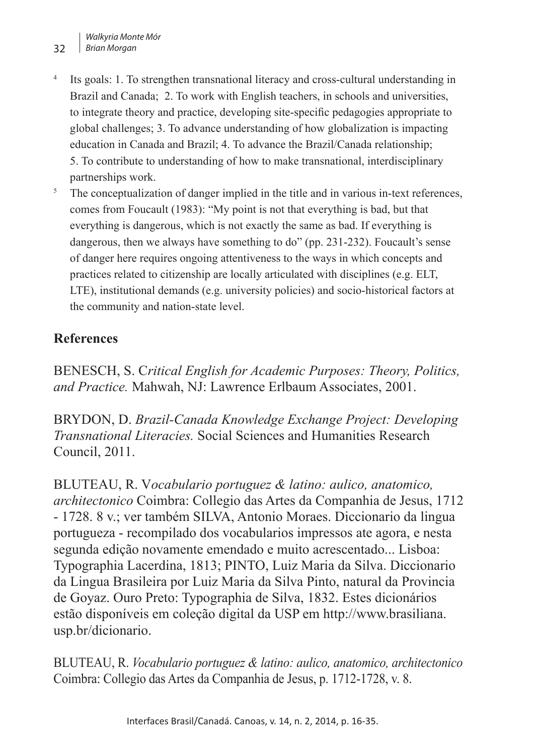- <sup>4</sup> Its goals: 1. To strengthen transnational literacy and cross-cultural understanding in Brazil and Canada; 2. To work with English teachers, in schools and universities, to integrate theory and practice, developing site-specifc pedagogies appropriate to global challenges; 3. To advance understanding of how globalization is impacting education in Canada and Brazil; 4. To advance the Brazil/Canada relationship; 5. To contribute to understanding of how to make transnational, interdisciplinary partnerships work.
- <sup>5</sup> The conceptualization of danger implied in the title and in various in-text references, comes from Foucault (1983): "My point is not that everything is bad, but that everything is dangerous, which is not exactly the same as bad. If everything is dangerous, then we always have something to do" (pp. 231-232). Foucault's sense of danger here requires ongoing attentiveness to the ways in which concepts and practices related to citizenship are locally articulated with disciplines (e.g. ELT, LTE), institutional demands (e.g. university policies) and socio-historical factors at the community and nation-state level.

## **References**

BENESCH, S. C*ritical English for Academic Purposes: Theory, Politics, and Practice.* Mahwah, NJ: Lawrence Erlbaum Associates, 2001.

BRYDON, D. *Brazil-Canada Knowledge Exchange Project: Developing Transnational Literacies.* Social Sciences and Humanities Research Council, 2011.

BLUTEAU, R. V*ocabulario portuguez & latino: aulico, anatomico, architectonico* Coimbra: Collegio das Artes da Companhia de Jesus, 1712 - 1728. 8 v.; ver também SILVA, Antonio Moraes. Diccionario da lingua portugueza - recompilado dos vocabularios impressos ate agora, e nesta segunda edição novamente emendado e muito acrescentado... Lisboa: Typographia Lacerdina, 1813; PINTO, Luiz Maria da Silva. Diccionario da Lingua Brasileira por Luiz Maria da Silva Pinto, natural da Provincia de Goyaz. Ouro Preto: Typographia de Silva, 1832. Estes dicionários estão disponíveis em coleção digital da USP em http://www.brasiliana. usp.br/dicionario.

BLUTEAU, R. *Vocabulario portuguez & latino: aulico, anatomico, architectonico*  Coimbra: Collegio das Artes da Companhia de Jesus, p. 1712-1728, v. 8.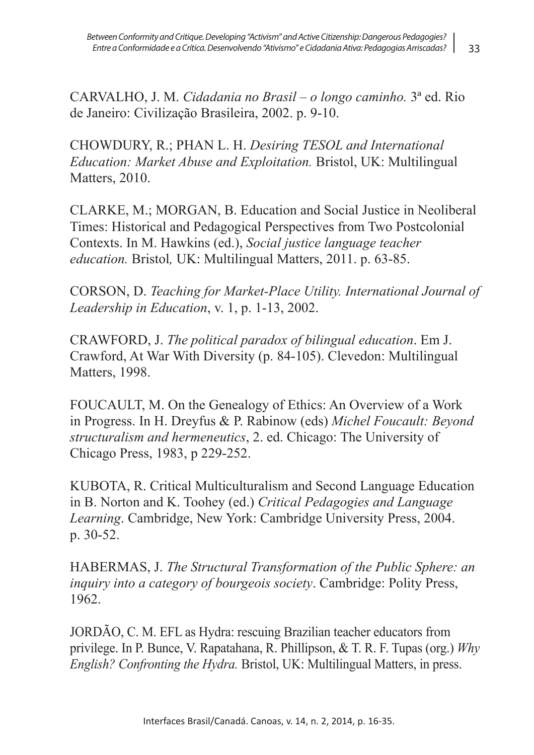33

CARVALHO, J. M. *Cidadania no Brasil – o longo caminho.* 3ª ed. Rio de Janeiro: Civilização Brasileira, 2002. p. 9-10.

CHOWDURY, R.; PHAN L. H. *Desiring TESOL and International Education: Market Abuse and Exploitation.* Bristol, UK: Multilingual Matters, 2010.

CLARKE, M.; MORGAN, B. Education and Social Justice in Neoliberal Times: Historical and Pedagogical Perspectives from Two Postcolonial Contexts. In M. Hawkins (ed.), *Social justice language teacher education.* Bristol*,* UK: Multilingual Matters, 2011. p. 63-85.

CORSON, D. *Teaching for Market-Place Utility. International Journal of Leadership in Education*, v. 1, p. 1-13, 2002.

CRAWFORD, J. *The political paradox of bilingual education*. Em J. Crawford, At War With Diversity (p. 84-105). Clevedon: Multilingual Matters, 1998.

FOUCAULT, M. On the Genealogy of Ethics: An Overview of a Work in Progress. In H. Dreyfus & P. Rabinow (eds) *Michel Foucault: Beyond structuralism and hermeneutics*, 2. ed. Chicago: The University of Chicago Press, 1983, p 229-252.

KUBOTA, R. Critical Multiculturalism and Second Language Education in B. Norton and K. Toohey (ed.) *Critical Pedagogies and Language Learning*. Cambridge, New York: Cambridge University Press, 2004. p. 30-52.

HABERMAS, J. *The Structural Transformation of the Public Sphere: an inquiry into a category of bourgeois society*. Cambridge: Polity Press, 1962.

JORDÃO, C. M. EFL as Hydra: rescuing Brazilian teacher educators from privilege. In P. Bunce, V. Rapatahana, R. Phillipson, & T. R. F. Tupas (org.) *Why English? Confronting the Hydra.* Bristol, UK: Multilingual Matters, in press.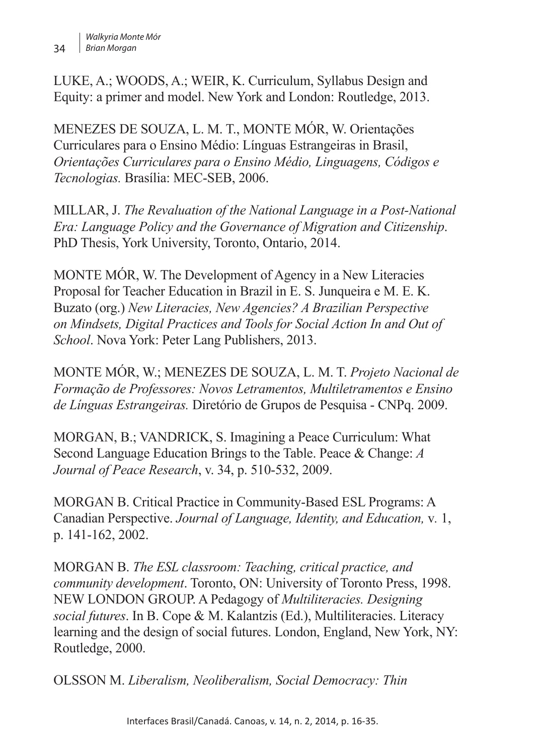LUKE, A.; WOODS, A.; WEIR, K. Curriculum, Syllabus Design and Equity: a primer and model. New York and London: Routledge, 2013.

MENEZES DE SOUZA, L. M. T., MONTE MÓR, W. Orientações Curriculares para o Ensino Médio: Línguas Estrangeiras in Brasil, *Orientações Curriculares para o Ensino Médio, Linguagens, Códigos e Tecnologias.* Brasília: MEC-SEB, 2006.

MILLAR, J. *The Revaluation of the National Language in a Post-National Era: Language Policy and the Governance of Migration and Citizenship*. PhD Thesis, York University, Toronto, Ontario, 2014.

MONTE MÓR, W. The Development of Agency in a New Literacies Proposal for Teacher Education in Brazil in E. S. Junqueira e M. E. K. Buzato (org.) *New Literacies, New Agencies? A Brazilian Perspective on Mindsets, Digital Practices and Tools for Social Action In and Out of School*. Nova York: Peter Lang Publishers, 2013.

MONTE MÓR, W.; MENEZES DE SOUZA, L. M. T. *Projeto Nacional de Formação de Professores: Novos Letramentos, Multiletramentos e Ensino de Línguas Estrangeiras.* Diretório de Grupos de Pesquisa - CNPq. 2009.

MORGAN, B.; VANDRICK, S. Imagining a Peace Curriculum: What Second Language Education Brings to the Table. Peace & Change: *A Journal of Peace Research*, v. 34, p. 510-532, 2009.

MORGAN B. Critical Practice in Community-Based ESL Programs: A Canadian Perspective. *Journal of Language, Identity, and Education,* v*.* 1, p. 141-162, 2002.

MORGAN B. *The ESL classroom: Teaching, critical practice, and community development*. Toronto, ON: University of Toronto Press, 1998. NEW LONDON GROUP. A Pedagogy of *Multiliteracies. Designing social futures*. In B. Cope & M. Kalantzis (Ed.), Multiliteracies. Literacy learning and the design of social futures. London, England, New York, NY: Routledge, 2000.

OLSSON M. *Liberalism, Neoliberalism, Social Democracy: Thin*